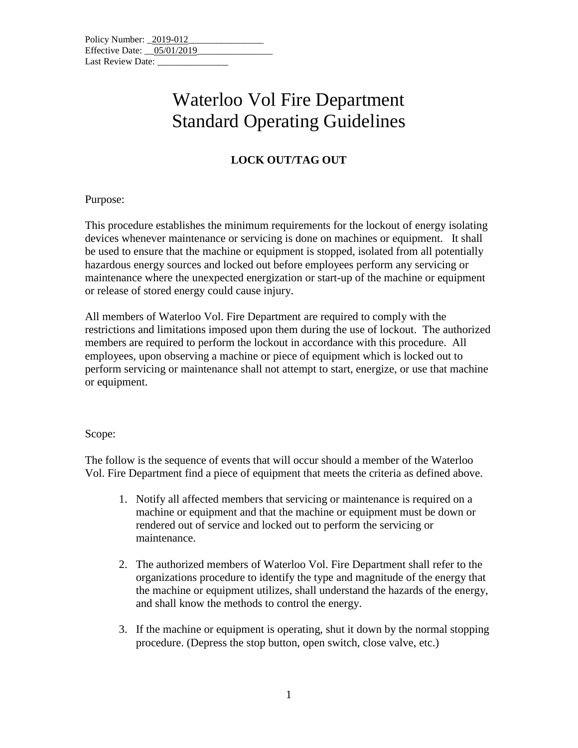| Policy Number: 2019-012    |  |  |
|----------------------------|--|--|
| Effective Date: 05/01/2019 |  |  |
| Last Review Date:          |  |  |

## Waterloo Vol Fire Department Standard Operating Guidelines

### **LOCK OUT/TAG OUT**

Purpose:

This procedure establishes the minimum requirements for the lockout of energy isolating devices whenever maintenance or servicing is done on machines or equipment. It shall be used to ensure that the machine or equipment is stopped, isolated from all potentially hazardous energy sources and locked out before employees perform any servicing or maintenance where the unexpected energization or start-up of the machine or equipment or release of stored energy could cause injury.

All members of Waterloo Vol. Fire Department are required to comply with the restrictions and limitations imposed upon them during the use of lockout. The authorized members are required to perform the lockout in accordance with this procedure. All employees, upon observing a machine or piece of equipment which is locked out to perform servicing or maintenance shall not attempt to start, energize, or use that machine or equipment.

#### Scope:

The follow is the sequence of events that will occur should a member of the Waterloo Vol. Fire Department find a piece of equipment that meets the criteria as defined above.

- 1. Notify all affected members that servicing or maintenance is required on a machine or equipment and that the machine or equipment must be down or rendered out of service and locked out to perform the servicing or maintenance.
- 2. The authorized members of Waterloo Vol. Fire Department shall refer to the organizations procedure to identify the type and magnitude of the energy that the machine or equipment utilizes, shall understand the hazards of the energy, and shall know the methods to control the energy.
- 3. If the machine or equipment is operating, shut it down by the normal stopping procedure. (Depress the stop button, open switch, close valve, etc.)